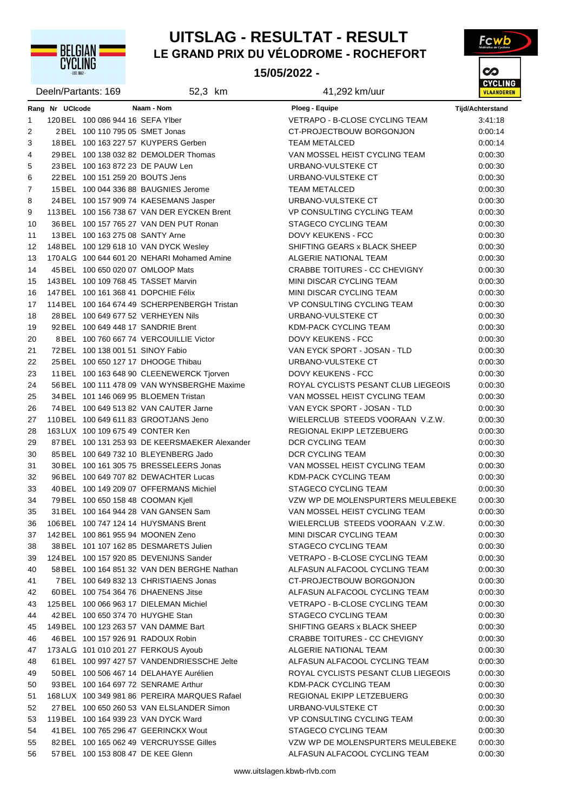

## **LE GRAND PRIX DU VÉLODROME - ROCHEFORT UITSLAG - RESULTAT - RESULT**

#### **15/05/2022 -**



|         |                 | Deeln/Partants: 169                  | 52,3 km                                        | 41,292 km/uur                                      | <u>UTULIN</u><br><b>VLAANDERE</b> |
|---------|-----------------|--------------------------------------|------------------------------------------------|----------------------------------------------------|-----------------------------------|
|         | Rang Nr UCIcode |                                      | Naam - Nom                                     | Ploeg - Equipe                                     | <b>Tijd/Achterstand</b>           |
| 1       |                 | 120 BEL 100 086 944 16 SEFA Ylber    |                                                | VETRAPO - B-CLOSE CYCLING TEAM                     | 3:41:18                           |
| 2       |                 | 2 BEL 100 110 795 05 SMET Jonas      |                                                | CT-PROJECTBOUW BORGONJON                           | 0:00:14                           |
| 3       |                 |                                      | 18 BEL 100 163 227 57 KUYPERS Gerben           | <b>TEAM METALCED</b>                               | 0:00:14                           |
| 4       |                 |                                      | 29 BEL 100 138 032 82 DEMOLDER Thomas          | VAN MOSSEL HEIST CYCLING TEAM                      | 0:00:30                           |
| 5       |                 | 23 BEL 100 163 872 23 DE PAUW Len    |                                                | URBANO-VULSTEKE CT                                 | 0:00:30                           |
| 6       |                 | 22 BEL 100 151 259 20 BOUTS Jens     |                                                | URBANO-VULSTEKE CT                                 | 0:00:30                           |
| 7       |                 |                                      | 15 BEL 100 044 336 88 BAUGNIES Jerome          | <b>TEAM METALCED</b>                               | 0:00:30                           |
|         |                 |                                      | 24 BEL 100 157 909 74 KAESEMANS Jasper         | URBANO-VULSTEKE CT                                 | 0:00:30                           |
| 8       |                 |                                      | 113 BEL 100 156 738 67 VAN DER EYCKEN Brent    |                                                    |                                   |
| 9<br>10 |                 |                                      | 36 BEL 100 157 765 27 VAN DEN PUT Ronan        | VP CONSULTING CYCLING TEAM<br>STAGECO CYCLING TEAM | 0:00:30                           |
| 11      |                 | 13 BEL 100 163 275 08 SANTY Arne     |                                                | DOVY KEUKENS - FCC                                 | 0:00:30<br>0:00:30                |
| 12      |                 |                                      | 148 BEL 100 129 618 10 VAN DYCK Wesley         | SHIFTING GEARS x BLACK SHEEP                       | 0:00:30                           |
| 13      |                 |                                      |                                                | ALGERIE NATIONAL TEAM                              |                                   |
|         |                 |                                      | 170 ALG 100 644 601 20 NEHARI Mohamed Amine    |                                                    | 0:00:30                           |
| 14      |                 | 45 BEL 100 650 020 07 OMLOOP Mats    |                                                | CRABBE TOITURES - CC CHEVIGNY                      | 0:00:30                           |
| 15      |                 |                                      | 143 BEL 100 109 768 45 TASSET Marvin           | MINI DISCAR CYCLING TEAM                           | 0:00:30                           |
| 16      |                 | 147 BEL 100 161 368 41 DOPCHIE Félix |                                                | MINI DISCAR CYCLING TEAM                           | 0:00:30                           |
| 17      |                 |                                      | 114 BEL 100 164 674 49 SCHERPENBERGH Tristan   | VP CONSULTING CYCLING TEAM                         | 0:00:30                           |
| 18      |                 |                                      | 28 BEL 100 649 677 52 VERHEYEN Nils            | URBANO-VULSTEKE CT                                 | 0:00:30                           |
| 19      |                 |                                      | 92 BEL 100 649 448 17 SANDRIE Brent            | KDM-PACK CYCLING TEAM                              | 0:00:30                           |
| 20      |                 |                                      | 8 BEL 100 760 667 74 VERCOUILLIE Victor        | <b>DOVY KEUKENS - FCC</b>                          | 0:00:30                           |
| 21      |                 | 72 BEL 100 138 001 51 SINOY Fabio    |                                                | VAN EYCK SPORT - JOSAN - TLD                       | 0:00:30                           |
| 22      |                 |                                      | 25 BEL 100 650 127 17 DHOOGE Thibau            | URBANO-VULSTEKE CT                                 | 0:00:30                           |
| 23      |                 |                                      | 11 BEL 100 163 648 90 CLEENEWERCK Tjorven      | DOVY KEUKENS - FCC                                 | 0:00:30                           |
| 24      |                 |                                      | 56 BEL 100 111 478 09 VAN WYNSBERGHE Maxime    | ROYAL CYCLISTS PESANT CLUB LIEGEOIS                | 0:00:30                           |
| 25      |                 |                                      | 34 BEL 101 146 069 95 BLOEMEN Tristan          | VAN MOSSEL HEIST CYCLING TEAM                      | 0:00:30                           |
| 26      |                 |                                      | 74 BEL 100 649 513 82 VAN CAUTER Jarne         | VAN EYCK SPORT - JOSAN - TLD                       | 0:00:30                           |
| 27      |                 |                                      | 110 BEL 100 649 611 83 GROOTJANS Jeno          | WIELERCLUB STEEDS VOORAAN V.Z.W.                   | 0:00:30                           |
| 28      |                 | 163 LUX 100 109 675 49 CONTER Ken    |                                                | REGIONAL EKIPP LETZEBUERG                          | 0:00:30                           |
| 29      |                 |                                      | 87 BEL 100 131 253 93 DE KEERSMAEKER Alexander | DCR CYCLING TEAM                                   | 0:00:30                           |
| 30      |                 |                                      | 85 BEL 100 649 732 10 BLEYENBERG Jado          | DCR CYCLING TEAM                                   | 0:00:30                           |
| 31      |                 |                                      | 30 BEL 100 161 305 75 BRESSELEERS Jonas        | VAN MOSSEL HEIST CYCLING TEAM                      | 0:00:30                           |
| 32      |                 |                                      | 96 BEL 100 649 707 82 DEWACHTER Lucas          | KDM-PACK CYCLING TEAM                              | 0:00:30                           |
| 33      |                 |                                      | 40 BEL 100 149 209 07 OFFERMANS Michiel        | STAGECO CYCLING TEAM                               | 0:00:30                           |
| 34      |                 | 79 BEL 100 650 158 48 COOMAN Kjell   |                                                | VZW WP DE MOLENSPURTERS MEULEBEKE                  | 0:00:30                           |
| 35      |                 |                                      | 31 BEL 100 164 944 28 VAN GANSEN Sam           | VAN MOSSEL HEIST CYCLING TEAM                      | 0:00:30                           |
| 36      |                 |                                      | 106 BEL 100 747 124 14 HUYSMANS Brent          | WIELERCLUB STEEDS VOORAAN V.Z.W.                   | 0.00.30                           |
| 37      |                 | 142 BEL 100 861 955 94 MOONEN Zeno   |                                                | <b>MINI DISCAR CYCLING TEAM</b>                    | 0:00:30                           |
| 38      |                 |                                      | 38 BEL 101 107 162 85 DESMARETS Julien         | <b>STAGECO CYCLING TEAM</b>                        | 0:00:30                           |
| 39      |                 |                                      | 124 BEL 100 157 920 85 DEVENIJNS Sander        | <b>VETRAPO - B-CLOSE CYCLING TEAM</b>              | 0:00:30                           |
| 40      |                 |                                      | 58 BEL 100 164 851 32 VAN DEN BERGHE Nathan    | ALFASUN ALFACOOL CYCLING TEAM                      | 0:00:30                           |
| 41      |                 |                                      | 7 BEL 100 649 832 13 CHRISTIAENS Jonas         | CT-PROJECTBOUW BORGONJON                           | 0:00:30                           |
| 42      |                 |                                      | 60 BEL 100 754 364 76 DHAENENS Jitse           | ALFASUN ALFACOOL CYCLING TEAM                      | 0:00:30                           |
| 43      |                 |                                      | 125 BEL 100 066 963 17 DIELEMAN Michiel        | VETRAPO - B-CLOSE CYCLING TEAM                     | 0:00:30                           |
| 44      |                 | 42 BEL 100 650 374 70 HUYGHE Stan    |                                                | <b>STAGECO CYCLING TEAM</b>                        | 0:00:30                           |
| 45      |                 |                                      | 149 BEL 100 123 263 57 VAN DAMME Bart          | SHIFTING GEARS x BLACK SHEEP                       | 0:00:30                           |
| 46      |                 |                                      | 46 BEL 100 157 926 91 RADOUX Robin             | <b>CRABBE TOITURES - CC CHEVIGNY</b>               | 0:00:30                           |
| 47      |                 |                                      | 173 ALG 101 010 201 27 FERKOUS Ayoub           | ALGERIE NATIONAL TEAM                              | 0:00:30                           |
| 48      |                 |                                      | 61 BEL 100 997 427 57 VANDENDRIESSCHE Jelte    | ALFASUN ALFACOOL CYCLING TEAM                      | 0:00:30                           |
| 49      |                 |                                      | 50 BEL 100 506 467 14 DELAHAYE Aurélien        | ROYAL CYCLISTS PESANT CLUB LIEGEOIS                | 0:00:30                           |
| 50      |                 |                                      | 93 BEL 100 164 697 72 SENRAME Arthur           | KDM-PACK CYCLING TEAM                              | 0:00:30                           |
| 51      |                 |                                      | 168 LUX 100 349 981 86 PEREIRA MARQUES Rafael  | REGIONAL EKIPP LETZEBUERG                          | 0:00:30                           |
| 52      |                 |                                      | 27 BEL 100 650 260 53 VAN ELSLANDER Simon      | URBANO-VULSTEKE CT                                 | 0:00:30                           |
| 53      |                 |                                      | 119 BEL 100 164 939 23 VAN DYCK Ward           | VP CONSULTING CYCLING TEAM                         | 0:00:30                           |
| 54      |                 |                                      | 41 BEL 100 765 296 47 GEERINCKX Wout           | STAGECO CYCLING TEAM                               | 0:00:30                           |
| 55      |                 |                                      | 82 BEL 100 165 062 49 VERCRUYSSE Gilles        | VZW WP DE MOLENSPURTERS MEULEBEKE                  | 0:00:30                           |
| 56      |                 | 57 BEL 100 153 808 47 DE KEE Glenn   |                                                | ALFASUN ALFACOOL CYCLING TEAM                      | 0:00:30                           |
|         |                 |                                      |                                                |                                                    |                                   |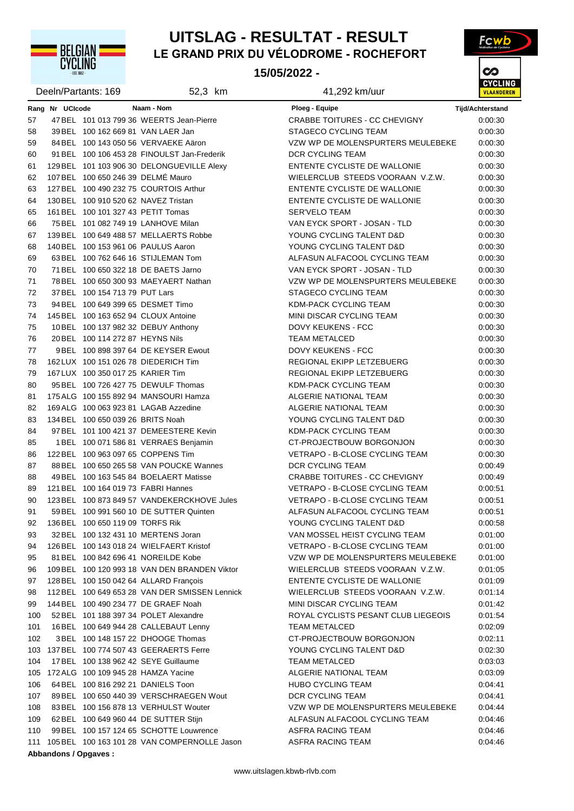

### **LE GRAND PRIX DU VÉLODROME - ROCHEFORT UITSLAG - RESULTAT - RESULT**

**15/05/2022 -** 



|     |                 | Deeln/Partants: 169                  | 52,3 km                                          | 41,292 km/uur                         | <b>VLAANDER</b>  |
|-----|-----------------|--------------------------------------|--------------------------------------------------|---------------------------------------|------------------|
|     | Rang Nr UCIcode |                                      | Naam - Nom                                       | Ploeg - Equipe                        | Tijd/Achterstand |
| 57  |                 |                                      | 47 BEL 101 013 799 36 WEERTS Jean-Pierre         | <b>CRABBE TOITURES - CC CHEVIGNY</b>  | 0:00:30          |
| 58  |                 | 39 BEL 100 162 669 81 VAN LAER Jan   |                                                  | STAGECO CYCLING TEAM                  | 0:00:30          |
| 59  |                 |                                      | 84 BEL 100 143 050 56 VERVAEKE Aäron             | VZW WP DE MOLENSPURTERS MEULEBEKE     | 0:00:30          |
| 60  |                 |                                      | 91 BEL 100 106 453 28 FINOULST Jan-Frederik      | <b>DCR CYCLING TEAM</b>               | 0:00:30          |
| 61  |                 |                                      | 129 BEL 101 103 906 30 DELONGUEVILLE Alexy       | ENTENTE CYCLISTE DE WALLONIE          | 0:00:30          |
| 62  |                 | 107 BEL 100 650 246 39 DELMÉ Mauro   |                                                  | WIELERCLUB STEEDS VOORAAN V.Z.W.      | 0.00.30          |
| 63  |                 |                                      | 127 BEL 100 490 232 75 COURTOIS Arthur           | ENTENTE CYCLISTE DE WALLONIE          | 0:00:30          |
| 64  |                 | 130 BEL 100 910 520 62 NAVEZ Tristan |                                                  | ENTENTE CYCLISTE DE WALLONIE          | 0:00:30          |
| 65  |                 | 161 BEL 100 101 327 43 PETIT Tomas   |                                                  | <b>SER'VELO TEAM</b>                  | 0:00:30          |
| 66  |                 |                                      | 75 BEL 101 082 749 19 LANHOVE Milan              | VAN EYCK SPORT - JOSAN - TLD          | 0.00.30          |
| 67  |                 |                                      | 139 BEL 100 649 488 57 MELLAERTS Robbe           | YOUNG CYCLING TALENT D&D              | 0:00:30          |
| 68  |                 | 140 BEL 100 153 961 06 PAULUS Aaron  |                                                  | YOUNG CYCLING TALENT D&D              | 0:00:30          |
| 69  |                 |                                      | 63 BEL 100 762 646 16 STIJLEMAN Tom              | ALFASUN ALFACOOL CYCLING TEAM         | 0:00:30          |
| 70  |                 |                                      | 71 BEL 100 650 322 18 DE BAETS Jarno             | VAN EYCK SPORT - JOSAN - TLD          | 0:00:30          |
| 71  |                 |                                      | 78 BEL 100 650 300 93 MAEYAERT Nathan            | VZW WP DE MOLENSPURTERS MEULEBEKE     | 0.00.30          |
| 72  |                 | 37 BEL 100 154 713 79 PUT Lars       |                                                  | <b>STAGECO CYCLING TEAM</b>           | 0:00:30          |
| 73  |                 | 94 BEL 100 649 399 65 DESMET Timo    |                                                  | KDM-PACK CYCLING TEAM                 | 0:00:30          |
| 74  |                 |                                      | 145 BEL 100 163 652 94 CLOUX Antoine             | MINI DISCAR CYCLING TEAM              | 0.00.30          |
| 75  |                 |                                      | 10 BEL 100 137 982 32 DEBUY Anthony              | <b>DOVY KEUKENS - FCC</b>             | 0.00.30          |
| 76  |                 | 20 BEL 100 114 272 87 HEYNS Nils     |                                                  | <b>TEAM METALCED</b>                  | 0:00:30          |
| 77  |                 |                                      | 9BEL 100 898 397 64 DE KEYSER Ewout              | DOVY KEUKENS - FCC                    | 0:00:30          |
| 78  |                 |                                      | 162 LUX 100 151 026 78 DIEDERICH Tim             | REGIONAL EKIPP LETZEBUERG             | 0:00:30          |
| 79  |                 | 167 LUX 100 350 017 25 KARIER Tim    |                                                  | REGIONAL EKIPP LETZEBUERG             | 0:00:30          |
| 80  |                 |                                      | 95 BEL 100 726 427 75 DEWULF Thomas              | KDM-PACK CYCLING TEAM                 | 0.00.30          |
| 81  |                 |                                      | 175 ALG 100 155 892 94 MANSOURI Hamza            | ALGERIE NATIONAL TEAM                 | 0:00:30          |
| 82  |                 |                                      | 169 ALG 100 063 923 81 LAGAB Azzedine            | ALGERIE NATIONAL TEAM                 | 0:00:30          |
| 83  |                 | 134 BEL 100 650 039 26 BRITS Noah    |                                                  | YOUNG CYCLING TALENT D&D              | 0:00:30          |
| 84  |                 |                                      | 97 BEL 101 100 421 37 DEMEESTERE Kevin           | KDM-PACK CYCLING TEAM                 | 0:00:30          |
| 85  |                 |                                      | 1 BEL 100 071 586 81 VERRAES Benjamin            | CT-PROJECTBOUW BORGONJON              | 0:00:30          |
| 86  |                 | 122 BEL 100 963 097 65 COPPENS Tim   |                                                  | VETRAPO - B-CLOSE CYCLING TEAM        | 0:00:30          |
| 87  |                 |                                      | 88 BEL 100 650 265 58 VAN POUCKE Wannes          | DCR CYCLING TEAM                      | 0:00:49          |
| 88  |                 |                                      | 49 BEL 100 163 545 84 BOELAERT Matisse           | <b>CRABBE TOITURES - CC CHEVIGNY</b>  | 0:00:49          |
| 89  |                 | 121 BEL 100 164 019 73 FABRI Hannes  |                                                  | VETRAPO - B-CLOSE CYCLING TEAM        | 0:00:51          |
| 90  |                 |                                      | 123 BEL 100 873 849 57 VANDEKERCKHOVE Jules      | <b>VETRAPO - B-CLOSE CYCLING TEAM</b> | 0:00:51          |
| 91  |                 |                                      | 59 BEL 100 991 560 10 DE SUTTER Quinten          | ALFASUN ALFACOOL CYCLING TEAM         | 0:00:51          |
| 92  |                 | 136 BEL 100 650 119 09 TORFS Rik     |                                                  | YOUNG CYCLING TALENT D&D              | 0:00:58          |
| 93  |                 |                                      | 32 BEL 100 132 431 10 MERTENS Joran              | VAN MOSSEL HEIST CYCLING TEAM         | 0.01:00          |
| 94  |                 |                                      | 126 BEL 100 143 018 24 WIELFAERT Kristof         | VETRAPO - B-CLOSE CYCLING TEAM        | 0.01:00          |
| 95  |                 |                                      | 81 BEL 100 842 696 41 NOREILDE Kobe              | VZW WP DE MOLENSPURTERS MEULEBEKE     | 0.01:00          |
| 96  |                 |                                      | 109 BEL 100 120 993 18 VAN DEN BRANDEN Viktor    | WIELERCLUB STEEDS VOORAAN V.Z.W.      | 0:01:05          |
| 97  |                 |                                      | 128 BEL 100 150 042 64 ALLARD François           | ENTENTE CYCLISTE DE WALLONIE          | 0:01:09          |
| 98  |                 |                                      | 112 BEL 100 649 653 28 VAN DER SMISSEN Lennick   | WIELERCLUB STEEDS VOORAAN V.Z.W.      | 0:01:14          |
| 99  |                 |                                      | 144 BEL 100 490 234 77 DE GRAEF Noah             | MINI DISCAR CYCLING TEAM              | 0:01:42          |
| 100 |                 |                                      | 52 BEL 101 188 397 34 POLET Alexandre            | ROYAL CYCLISTS PESANT CLUB LIEGEOIS   | 0:01:54          |
| 101 |                 |                                      | 16 BEL 100 649 944 28 CALLEBAUT Lenny            | <b>TEAM METALCED</b>                  | 0.02:09          |
| 102 |                 |                                      | 3 BEL 100 148 157 22 DHOOGE Thomas               | CT-PROJECTBOUW BORGONJON              | 0:02:11          |
| 103 |                 |                                      | 137 BEL 100 774 507 43 GEERAERTS Ferre           | YOUNG CYCLING TALENT D&D              | 0:02:30          |
| 104 |                 |                                      | 17 BEL 100 138 962 42 SEYE Guillaume             | <b>TEAM METALCED</b>                  | 0:03:03          |
| 105 |                 | 172 ALG 100 109 945 28 HAMZA Yacine  |                                                  | ALGERIE NATIONAL TEAM                 | 0:03:09          |
| 106 |                 | 64 BEL 100 816 292 21 DANIELS Toon   |                                                  | <b>HUBO CYCLING TEAM</b>              | 0:04:41          |
| 107 |                 |                                      | 89 BEL 100 650 440 39 VERSCHRAEGEN Wout          | DCR CYCLING TEAM                      | 0:04:41          |
| 108 |                 |                                      | 83 BEL 100 156 878 13 VERHULST Wouter            | VZW WP DE MOLENSPURTERS MEULEBEKE     | 0.04.44          |
| 109 |                 |                                      | 62 BEL 100 649 960 44 DE SUTTER Stijn            | ALFASUN ALFACOOL CYCLING TEAM         | 0.04.46          |
| 110 |                 |                                      | 99 BEL 100 157 124 65 SCHOTTE Louwrence          | ASFRA RACING TEAM                     | 0.04.46          |
|     |                 |                                      | 111 105 BEL 100 163 101 28 VAN COMPERNOLLE Jason | ASFRA RACING TEAM                     | 0.04.46          |
|     |                 | Abbandons / Opgaves :                |                                                  |                                       |                  |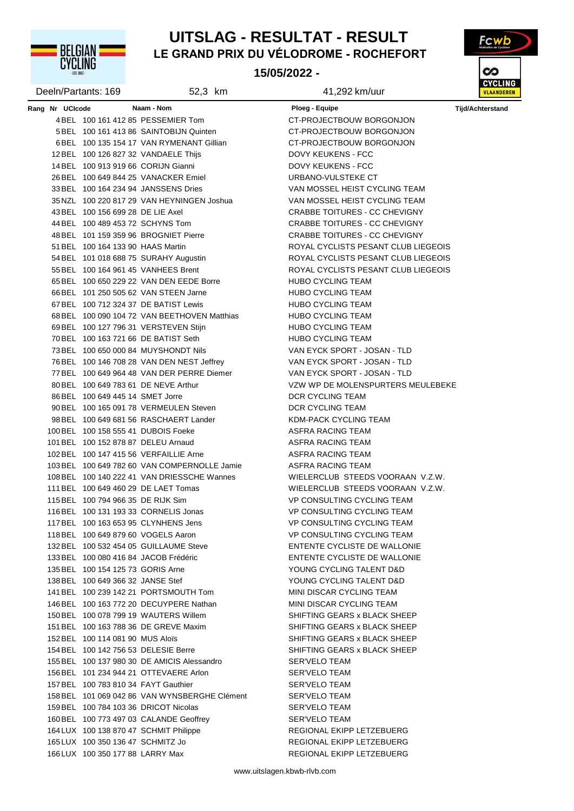**UYULING** 

### **LE GRAND PRIX DU VÉLODROME - ROCHEFORT UITSLAG - RESULTAT - RESULT**

**15/05/2022 -** 



| Deeln/Partants: 169 |                                      | 52,3 km                                       | 41,292 km/uur                                                        | 51511<br><b>VLAANDER</b> |  |
|---------------------|--------------------------------------|-----------------------------------------------|----------------------------------------------------------------------|--------------------------|--|
| Rang Nr UCIcode     |                                      | Naam - Nom                                    | Ploeg - Equipe                                                       | <b>Tijd/Achterstand</b>  |  |
|                     |                                      | 4 BEL 100 161 412 85 PESSEMIER Tom            | CT-PROJECTBOUW BORGONJON                                             |                          |  |
|                     |                                      | 5 BEL 100 161 413 86 SAINTOBIJN Quinten       | CT-PROJECTBOUW BORGONJON                                             |                          |  |
|                     |                                      | 6 BEL 100 135 154 17 VAN RYMENANT Gillian     | CT-PROJECTBOUW BORGONJON                                             |                          |  |
|                     |                                      | 12 BEL 100 126 827 32 VANDAELE Thijs          | DOVY KEUKENS - FCC                                                   |                          |  |
|                     | 14 BEL 100 913 919 66 CORIJN Gianni  |                                               | DOVY KEUKENS - FCC                                                   |                          |  |
|                     |                                      | 26 BEL 100 649 844 25 VANACKER Emiel          | URBANO-VULSTEKE CT                                                   |                          |  |
|                     |                                      | 33 BEL 100 164 234 94 JANSSENS Dries          | VAN MOSSEL HEIST CYCLING TEAM                                        |                          |  |
|                     |                                      | 35 NZL 100 220 817 29 VAN HEYNINGEN Joshua    | VAN MOSSEL HEIST CYCLING TEAM                                        |                          |  |
|                     | 43 BEL 100 156 699 28 DE LIE Axel    |                                               | CRABBE TOITURES - CC CHEVIGNY                                        |                          |  |
|                     | 44 BEL 100 489 453 72 SCHYNS Tom     |                                               | CRABBE TOITURES - CC CHEVIGNY                                        |                          |  |
|                     |                                      | 48 BEL 101 159 359 96 BROGNIET Pierre         | CRABBE TOITURES - CC CHEVIGNY                                        |                          |  |
|                     | 51 BEL 100 164 133 90 HAAS Martin    |                                               | ROYAL CYCLISTS PESANT CLUB LIEGEOIS                                  |                          |  |
|                     |                                      | 54 BEL 101 018 688 75 SURAHY Augustin         | ROYAL CYCLISTS PESANT CLUB LIEGEOIS                                  |                          |  |
|                     |                                      | 55 BEL 100 164 961 45 VANHEES Brent           | ROYAL CYCLISTS PESANT CLUB LIEGEOIS                                  |                          |  |
|                     |                                      | 65 BEL 100 650 229 22 VAN DEN EEDE Borre      | <b>HUBO CYCLING TEAM</b>                                             |                          |  |
|                     |                                      | 66 BEL 101 250 505 62 VAN STEEN Jarne         | <b>HUBO CYCLING TEAM</b>                                             |                          |  |
|                     |                                      | 67 BEL 100 712 324 37 DE BATIST Lewis         | <b>HUBO CYCLING TEAM</b>                                             |                          |  |
|                     |                                      | 68 BEL 100 090 104 72 VAN BEETHOVEN Matthias  | <b>HUBO CYCLING TEAM</b>                                             |                          |  |
|                     |                                      | 69 BEL 100 127 796 31 VERSTEVEN Stijn         | <b>HUBO CYCLING TEAM</b>                                             |                          |  |
|                     |                                      | 70 BEL 100 163 721 66 DE BATIST Seth          | <b>HUBO CYCLING TEAM</b>                                             |                          |  |
|                     |                                      | 73 BEL 100 650 000 84 MUYSHONDT Nils          | VAN EYCK SPORT - JOSAN - TLD                                         |                          |  |
|                     |                                      | 76 BEL 100 146 708 28 VAN DEN NEST Jeffrey    | VAN EYCK SPORT - JOSAN - TLD                                         |                          |  |
|                     |                                      | 77 BEL 100 649 964 48 VAN DER PERRE Diemer    | VAN EYCK SPORT - JOSAN - TLD                                         |                          |  |
|                     |                                      | 80 BEL 100 649 783 61 DE NEVE Arthur          | VZW WP DE MOLENSPURTERS MEULEBEKE                                    |                          |  |
|                     | 86 BEL 100 649 445 14 SMET Jorre     |                                               | DCR CYCLING TEAM                                                     |                          |  |
|                     |                                      | 90 BEL 100 165 091 78 VERMEULEN Steven        | DCR CYCLING TEAM                                                     |                          |  |
|                     |                                      | 98 BEL 100 649 681 56 RASCHAERT Lander        | KDM-PACK CYCLING TEAM                                                |                          |  |
|                     | 100 BEL 100 158 555 41 DUBOIS Foeke  |                                               | ASFRA RACING TEAM                                                    |                          |  |
|                     | 101 BEL 100 152 878 87 DELEU Arnaud  |                                               | ASFRA RACING TEAM                                                    |                          |  |
|                     |                                      | 102 BEL 100 147 415 56 VERFAILLIE Arne        | ASFRA RACING TEAM                                                    |                          |  |
|                     |                                      |                                               |                                                                      |                          |  |
|                     |                                      | 103 BEL 100 649 782 60 VAN COMPERNOLLE Jamie  | ASFRA RACING TEAM                                                    |                          |  |
|                     |                                      | 108 BEL 100 140 222 41 VAN DRIESSCHE Wannes   | WIELERCLUB STEEDS VOORAAN V.Z.W.<br>WIELERCLUB STEEDS VOORAAN V.Z.W. |                          |  |
|                     |                                      | 111 BEL 100 649 460 29 DE LAET Tomas          | <b>VP CONSULTING CYCLING TEAM</b>                                    |                          |  |
|                     | 115 BEL 100 794 966 35 DE RIJK Sim   |                                               |                                                                      |                          |  |
|                     |                                      | 116 BEL 100 131 193 33 CORNELIS Jonas         | <b>VP CONSULTING CYCLING TEAM</b>                                    |                          |  |
|                     |                                      | 117 BEL 100 163 653 95 CLYNHENS Jens          | <b>VP CONSULTING CYCLING TEAM</b>                                    |                          |  |
|                     | 118 BEL 100 649 879 60 VOGELS Aaron  |                                               | VP CONSULTING CYCLING TEAM                                           |                          |  |
|                     |                                      | 132 BEL 100 532 454 05 GUILLAUME Steve        | ENTENTE CYCLISTE DE WALLONIE                                         |                          |  |
|                     |                                      | 133 BEL 100 080 416 84 JACOB Frédéric         | ENTENTE CYCLISTE DE WALLONIE                                         |                          |  |
|                     | 135 BEL 100 154 125 73 GORIS Arne    |                                               | YOUNG CYCLING TALENT D&D                                             |                          |  |
|                     | 138 BEL 100 649 366 32 JANSE Stef    |                                               | YOUNG CYCLING TALENT D&D                                             |                          |  |
|                     |                                      | 141 BEL 100 239 142 21 PORTSMOUTH Tom         | MINI DISCAR CYCLING TEAM                                             |                          |  |
|                     |                                      | 146 BEL 100 163 772 20 DECUYPERE Nathan       | MINI DISCAR CYCLING TEAM                                             |                          |  |
|                     |                                      | 150 BEL 100 078 799 19 WAUTERS Willem         | SHIFTING GEARS x BLACK SHEEP                                         |                          |  |
|                     |                                      | 151 BEL 100 163 788 36 DE GREVE Maxim         | SHIFTING GEARS x BLACK SHEEP                                         |                          |  |
|                     | 152 BEL 100 114 081 90 MUS Aloïs     |                                               | SHIFTING GEARS x BLACK SHEEP                                         |                          |  |
|                     | 154 BEL 100 142 756 53 DELESIE Berre |                                               | SHIFTING GEARS x BLACK SHEEP                                         |                          |  |
|                     |                                      | 155 BEL 100 137 980 30 DE AMICIS Alessandro   | SER'VELO TEAM                                                        |                          |  |
|                     |                                      | 156 BEL 101 234 944 21 OTTEVAERE Arlon        | SER'VELO TEAM                                                        |                          |  |
|                     | 157 BEL 100 783 810 34 FAYT Gauthier |                                               | SER'VELO TEAM                                                        |                          |  |
|                     |                                      | 158 BEL 101 069 042 86 VAN WYNSBERGHE Clément | SER'VELO TEAM                                                        |                          |  |
|                     |                                      | 159 BEL 100 784 103 36 DRICOT Nicolas         | SER'VELO TEAM                                                        |                          |  |
|                     |                                      | 160 BEL 100 773 497 03 CALANDE Geoffrey       | SER'VELO TEAM                                                        |                          |  |
|                     |                                      | 164 LUX 100 138 870 47 SCHMIT Philippe        | REGIONAL EKIPP LETZEBUERG                                            |                          |  |
|                     | 165 LUX 100 350 136 47 SCHMITZ Jo    |                                               | REGIONAL EKIPP LETZEBUERG                                            |                          |  |
|                     | 166 LUX 100 350 177 88 LARRY Max     |                                               | REGIONAL EKIPP LETZEBUERG                                            |                          |  |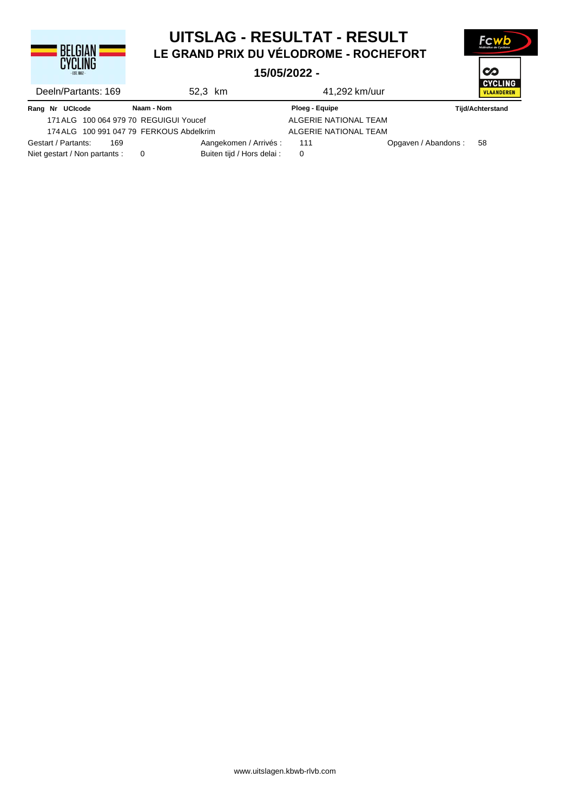

## **LE GRAND PRIX DU VÉLODROME - ROCHEFORT UITSLAG - RESULTAT - RESULT**

**Fcy** 

 $\infty$ 

#### **15/05/2022 -**

|                                          |                            | 1 YI VVI EV E E       |                                     |  |
|------------------------------------------|----------------------------|-----------------------|-------------------------------------|--|
| Deeln/Partants: 169                      | 52.3 km                    | 41,292 km/uur         | <b>CYCLING</b><br><b>VLAANDEREN</b> |  |
| Rang Nr UCIcode                          | Naam - Nom                 | Ploeg - Equipe        | <b>Tijd/Achterstand</b>             |  |
| 171 ALG 100 064 979 70 REGUIGUI Youcef   |                            | ALGERIE NATIONAL TEAM |                                     |  |
| 174 ALG 100 991 047 79 FERKOUS Abdelkrim |                            | ALGERIE NATIONAL TEAM |                                     |  |
| Gestart / Partants:<br>169               | Aangekomen / Arrivés :     | 111                   | Opgaven / Abandons:<br>-58          |  |
| Niet gestart / Non partants :            | Buiten tijd / Hors delai : | 0                     |                                     |  |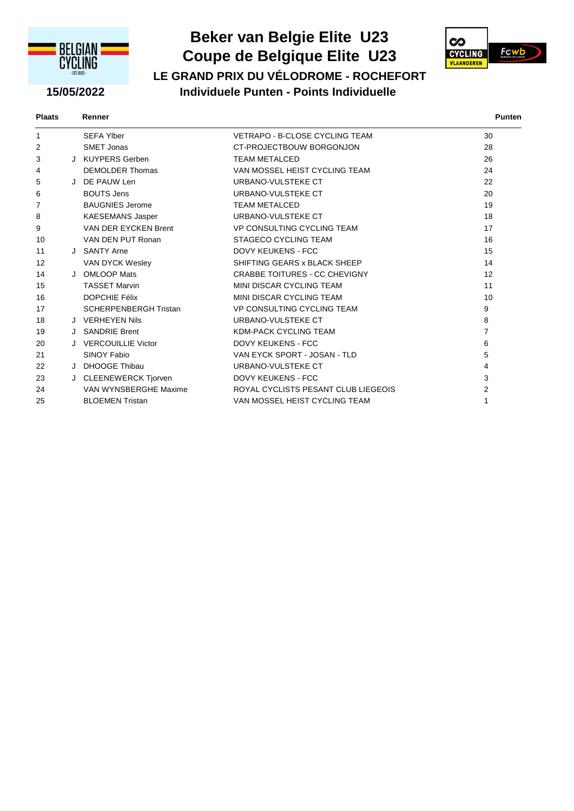

## **Beker van Belgie Elite U23 LE GRAND PRIX DU VÉLODROME - ROCHEFORT Coupe de Belgique Elite U23**



#### **15/05/2022 Individuele Punten - Points Individuelle**

| <b>Plaats</b><br>. | Renner |  | Punten |
|--------------------|--------|--|--------|
|                    |        |  |        |

| 1  | <b>SEFA Ylber</b>            | VETRAPO - B-CLOSE CYCLING TEAM       | 30             |
|----|------------------------------|--------------------------------------|----------------|
| 2  | SMET Jonas                   | CT-PROJECTBOUW BORGONJON             | 28             |
| 3  | J KUYPERS Gerben             | <b>TEAM METALCED</b>                 | 26             |
| 4  | <b>DEMOLDER Thomas</b>       | VAN MOSSEL HEIST CYCLING TEAM        | 24             |
| 5  | J DE PAUW Len                | URBANO-VULSTEKE CT                   | 22             |
| 6  | <b>BOUTS Jens</b>            | URBANO-VULSTEKE CT                   | 20             |
| 7  | <b>BAUGNIES Jerome</b>       | <b>TEAM METALCED</b>                 | 19             |
| 8  | <b>KAESEMANS Jasper</b>      | URBANO-VULSTEKE CT                   | 18             |
| 9  | VAN DER EYCKEN Brent         | <b>VP CONSULTING CYCLING TEAM</b>    | 17             |
| 10 | VAN DEN PUT Ronan            | STAGECO CYCLING TEAM                 | 16             |
| 11 | J SANTY Arne                 | <b>DOVY KEUKENS - FCC</b>            | 15             |
| 12 | VAN DYCK Wesley              | SHIFTING GEARS x BLACK SHEEP         | 14             |
| 14 | J OMLOOP Mats                | <b>CRABBE TOITURES - CC CHEVIGNY</b> | 12             |
| 15 | <b>TASSET Marvin</b>         | MINI DISCAR CYCLING TEAM             | 11             |
| 16 | <b>DOPCHIE Félix</b>         | MINI DISCAR CYCLING TEAM             | 10             |
| 17 | <b>SCHERPENBERGH Tristan</b> | <b>VP CONSULTING CYCLING TEAM</b>    | 9              |
| 18 | J VERHEYEN Nils              | URBANO-VULSTEKE CT                   | 8              |
| 19 | J SANDRIE Brent              | KDM-PACK CYCLING TEAM                | $\overline{7}$ |
| 20 | <b>VERCOUILLIE Victor</b>    | <b>DOVY KEUKENS - FCC</b>            | 6              |
| 21 | SINOY Fabio                  | VAN EYCK SPORT - JOSAN - TLD         | 5              |
| 22 | J DHOOGE Thibau              | URBANO-VULSTEKE CT                   | 4              |
| 23 | J CLEENEWERCK Tjorven        | <b>DOVY KEUKENS - FCC</b>            | 3              |
| 24 | VAN WYNSBERGHE Maxime        | ROYAL CYCLISTS PESANT CLUB LIEGEOIS  | 2              |
| 25 | <b>BLOEMEN Tristan</b>       | VAN MOSSEL HEIST CYCLING TEAM        | 1              |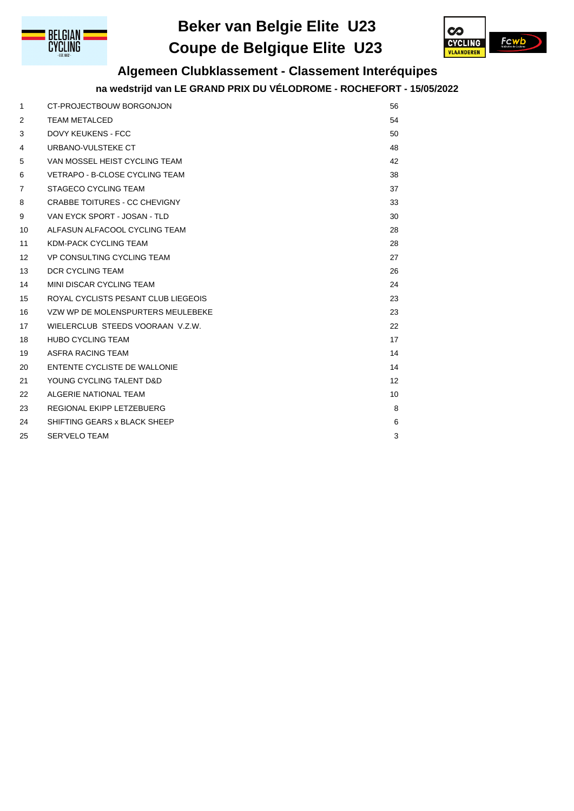

## **Beker van Belgie Elite U23 Coupe de Belgique Elite U23**



## **Algemeen Clubklassement - Classement Interéquipes**

#### **na wedstrijd van LE GRAND PRIX DU VÉLODROME - ROCHEFORT - 15/05/2022**

| 1                 | CT-PROJECTBOUW BORGONJON              | 56 |
|-------------------|---------------------------------------|----|
| 2                 | <b>TEAM METALCED</b>                  | 54 |
| 3                 | <b>DOVY KEUKENS - FCC</b>             | 50 |
| 4                 | URBANO-VULSTEKE CT                    | 48 |
| 5                 | VAN MOSSEL HEIST CYCLING TEAM         | 42 |
| 6                 | <b>VETRAPO - B-CLOSE CYCLING TEAM</b> | 38 |
| $\overline{7}$    | STAGECO CYCLING TEAM                  | 37 |
| 8                 | <b>CRABBE TOITURES - CC CHEVIGNY</b>  | 33 |
| 9                 | VAN EYCK SPORT - JOSAN - TLD          | 30 |
| 10                | ALFASUN ALFACOOL CYCLING TEAM         | 28 |
| 11                | <b>KDM-PACK CYCLING TEAM</b>          | 28 |
| $12 \overline{ }$ | VP CONSULTING CYCLING TEAM            | 27 |
| 13                | <b>DCR CYCLING TEAM</b>               | 26 |
| 14                | MINI DISCAR CYCLING TEAM              | 24 |
| 15                | ROYAL CYCLISTS PESANT CLUB LIEGEOIS   | 23 |
| 16                | VZW WP DE MOLENSPURTERS MEULEBEKE     | 23 |
| 17                | WIELERCLUB STEEDS VOORAAN V.Z.W.      | 22 |
| 18                | <b>HUBO CYCLING TEAM</b>              | 17 |
| 19                | ASFRA RACING TEAM                     | 14 |
| 20                | ENTENTE CYCLISTE DE WALLONIE          | 14 |
| 21                | YOUNG CYCLING TALENT D&D              | 12 |
| 22                | ALGERIE NATIONAL TEAM                 | 10 |
| 23                | REGIONAL EKIPP LETZEBUERG             | 8  |
| 24                | SHIFTING GEARS x BLACK SHEEP          | 6  |
| 25                | <b>SER'VELO TEAM</b>                  | 3  |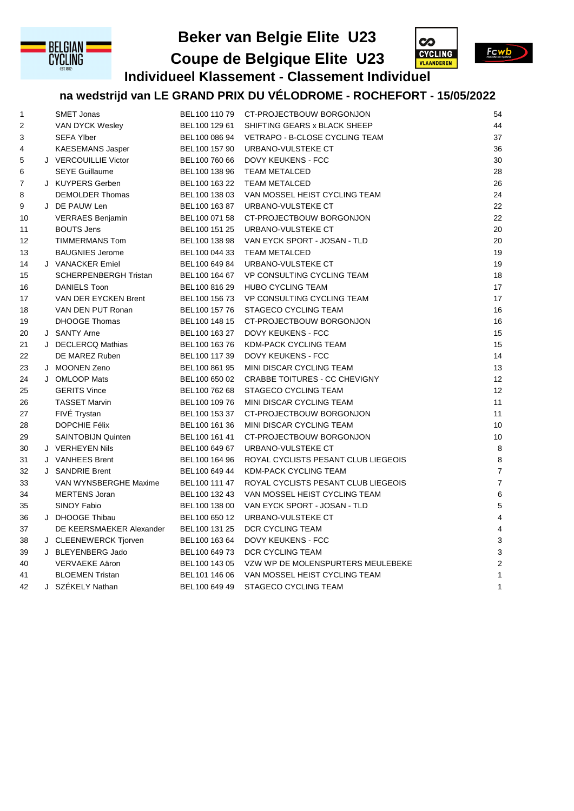

## **Beker van Belgie Elite U23**



**Fcwb** 

**Individueel Klassement - Classement Individuel Coupe de Belgique Elite U23**

## **na wedstrijd van LE GRAND PRIX DU VÉLODROME - ROCHEFORT - 15/05/2022**

| 1  | <b>SMET Jonas</b>            | BEL 100 110 79 | CT-PROJECTBOUW BORGONJON            | 54             |
|----|------------------------------|----------------|-------------------------------------|----------------|
| 2  | VAN DYCK Wesley              | BEL 100 129 61 | SHIFTING GEARS x BLACK SHEEP        | 44             |
| 3  | <b>SEFA Ylber</b>            | BEL100 086 94  | VETRAPO - B-CLOSE CYCLING TEAM      | 37             |
| 4  | <b>KAESEMANS Jasper</b>      | BEL 100 157 90 | URBANO-VULSTEKE CT                  | 36             |
| 5  | J VERCOUILLIE Victor         | BEL 100 760 66 | DOVY KEUKENS - FCC                  | 30             |
| 6  | <b>SEYE Guillaume</b>        | BEL100 138 96  | <b>TEAM METALCED</b>                | 28             |
| 7  | J KUYPERS Gerben             | BEL 100 163 22 | <b>TEAM METALCED</b>                | 26             |
| 8  | <b>DEMOLDER Thomas</b>       | BEL 100 138 03 | VAN MOSSEL HEIST CYCLING TEAM       | 24             |
| 9  | J DE PAUW Len                | BEL 100 163 87 | URBANO-VULSTEKE CT                  | 22             |
| 10 | <b>VERRAES Benjamin</b>      | BEL 100 071 58 | CT-PROJECTBOUW BORGONJON            | 22             |
| 11 | <b>BOUTS Jens</b>            | BEL100 151 25  | URBANO-VULSTEKE CT                  | 20             |
| 12 | <b>TIMMERMANS Tom</b>        | BEL 100 138 98 | VAN EYCK SPORT - JOSAN - TLD        | 20             |
| 13 | <b>BAUGNIES Jerome</b>       | BEL 100 044 33 | <b>TEAM METALCED</b>                | 19             |
| 14 | J VANACKER Emiel             | BEL100 649 84  | URBANO-VULSTEKE CT                  | 19             |
| 15 | <b>SCHERPENBERGH Tristan</b> | BEL 100 164 67 | <b>VP CONSULTING CYCLING TEAM</b>   | 18             |
| 16 | <b>DANIELS Toon</b>          | BEL 100 816 29 | <b>HUBO CYCLING TEAM</b>            | 17             |
| 17 | VAN DER EYCKEN Brent         | BEL 100 156 73 | VP CONSULTING CYCLING TEAM          | 17             |
| 18 | VAN DEN PUT Ronan            | BEL100 157 76  | <b>STAGECO CYCLING TEAM</b>         | 16             |
| 19 | <b>DHOOGE Thomas</b>         | BEL 100 148 15 | CT-PROJECTBOUW BORGONJON            | 16             |
| 20 | J SANTY Arne                 | BEL 100 163 27 | DOVY KEUKENS - FCC                  | 15             |
| 21 | J DECLERCQ Mathias           | BEL 100 163 76 | KDM-PACK CYCLING TEAM               | 15             |
| 22 | DE MAREZ Ruben               | BEL 100 117 39 | DOVY KEUKENS - FCC                  | 14             |
| 23 | J MOONEN Zeno                | BEL 100 861 95 | MINI DISCAR CYCLING TEAM            | 13             |
| 24 | J OMLOOP Mats                | BEL 100 650 02 | CRABBE TOITURES - CC CHEVIGNY       | 12             |
| 25 | <b>GERITS Vince</b>          | BEL 100 762 68 | STAGECO CYCLING TEAM                | 12             |
| 26 | <b>TASSET Marvin</b>         | BEL 100 109 76 | MINI DISCAR CYCLING TEAM            | 11             |
| 27 | FIVE Trystan                 | BEL 100 153 37 | CT-PROJECTBOUW BORGONJON            | 11             |
| 28 | <b>DOPCHIE Félix</b>         | BEL 100 161 36 | MINI DISCAR CYCLING TEAM            | 10             |
| 29 | <b>SAINTOBIJN Quinten</b>    | BEL 100 161 41 | CT-PROJECTBOUW BORGONJON            | 10             |
| 30 | J VERHEYEN Nils              | BEL100 649 67  | URBANO-VULSTEKE CT                  | 8              |
| 31 | J VANHEES Brent              | BEL 100 164 96 | ROYAL CYCLISTS PESANT CLUB LIEGEOIS | 8              |
| 32 | J SANDRIE Brent              | BEL 100 649 44 | KDM-PACK CYCLING TEAM               | $\overline{7}$ |
| 33 | VAN WYNSBERGHE Maxime        | BEL100 111 47  | ROYAL CYCLISTS PESANT CLUB LIEGEOIS | $\overline{7}$ |
| 34 | <b>MERTENS Joran</b>         | BEL 100 132 43 | VAN MOSSEL HEIST CYCLING TEAM       | $\,6$          |
| 35 | <b>SINOY Fabio</b>           | BEL100 138 00  | VAN EYCK SPORT - JOSAN - TLD        | 5              |
| 36 | J DHOOGE Thibau              | BEL 100 650 12 | URBANO-VULSTEKE CT                  | $\overline{4}$ |
| 37 | DE KEERSMAEKER Alexander     | BEL100 131 25  | DCR CYCLING TEAM                    | $\overline{4}$ |
| 38 | J CLEENEWERCK Tjorven        | BEL 100 163 64 | <b>DOVY KEUKENS - FCC</b>           | 3              |
| 39 | J BLEYENBERG Jado            | BEL 100 649 73 | DCR CYCLING TEAM                    | $\mathsf 3$    |
| 40 | VERVAEKE Aäron               | BEL 100 143 05 | VZW WP DE MOLENSPURTERS MEULEBEKE   | $\sqrt{2}$     |
| 41 | <b>BLOEMEN Tristan</b>       | BEL101 146 06  | VAN MOSSEL HEIST CYCLING TEAM       | $\mathbf{1}$   |
| 42 | J SZÉKELY Nathan             | BEL 100 649 49 | STAGECO CYCLING TEAM                | $\mathbf{1}$   |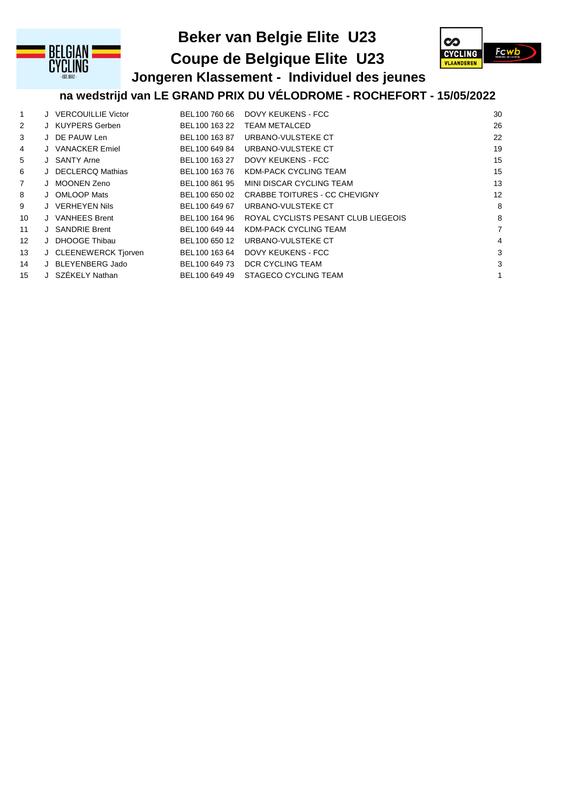

## **Beker van Belgie Elite U23**

**Coupe de Belgique Elite U23**



# **Jongeren Klassement - Individuel des jeunes**

**na wedstrijd van LE GRAND PRIX DU VÉLODROME - ROCHEFORT - 15/05/2022**

| 1              | J VERCOUILLIE Victor  | BEL 100 760 66 | DOVY KEUKENS - FCC                   | 30             |
|----------------|-----------------------|----------------|--------------------------------------|----------------|
| $\overline{2}$ | J KUYPERS Gerben      | BEL 100 163 22 | <b>TEAM METALCED</b>                 | 26             |
| 3              | J DE PAUW Len         | BEL100 163 87  | URBANO-VULSTEKE CT                   | 22             |
| 4              | J VANACKER Emiel      | BEL100 649 84  | URBANO-VULSTEKE CT                   | 19             |
| 5              | J SANTY Arne          | BEL100 163 27  | DOVY KEUKENS - FCC                   | 15             |
| 6              | J DECLERCQ Mathias    | BEL 100 163 76 | KDM-PACK CYCLING TEAM                | 15             |
| $\overline{7}$ | J MOONEN Zeno         | BEL100 861 95  | MINI DISCAR CYCLING TEAM             | 13             |
| 8              | J OMLOOP Mats         | BEL 100 650 02 | <b>CRABBE TOITURES - CC CHEVIGNY</b> | 12             |
| 9              | J VERHEYEN Nils       | BEL 100 649 67 | URBANO-VULSTEKE CT                   | 8              |
| 10             | J VANHEES Brent       | BEL 100 164 96 | ROYAL CYCLISTS PESANT CLUB LIEGEOIS  | 8              |
| 11             | J SANDRIE Brent       | BEL100 649 44  | KDM-PACK CYCLING TEAM                | $\overline{7}$ |
| 12             | J DHOOGE Thibau       | BEL100 650 12  | URBANO-VULSTEKE CT                   | 4              |
| 13             | J CLEENEWERCK Tjorven | BEL100 163 64  | DOVY KEUKENS - FCC                   | 3              |
| 14             | J BLEYENBERG Jado     | BEL100 649 73  | DCR CYCLING TEAM                     | 3              |
| 15             | J SZÉKELY Nathan      | BEL100 649 49  | STAGECO CYCLING TEAM                 | $\mathbf{1}$   |
|                |                       |                |                                      |                |